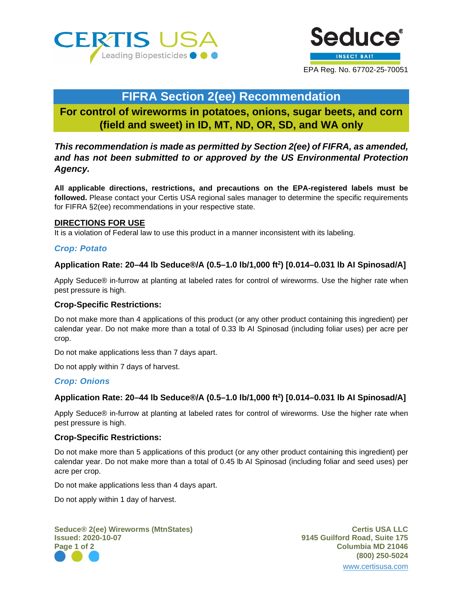



# **FIFRA Section 2(ee) Recommendation**

**For control of wireworms in potatoes, onions, sugar beets, and corn (field and sweet) in ID, MT, ND, OR, SD, and WA only**

*This recommendation is made as permitted by Section 2(ee) of FIFRA, as amended, and has not been submitted to or approved by the US Environmental Protection Agency.*

**All applicable directions, restrictions, and precautions on the EPA-registered labels must be followed.** Please contact your Certis USA regional sales manager to determine the specific requirements for FIFRA §2(ee) recommendations in your respective state.

### **DIRECTIONS FOR USE**

It is a violation of Federal law to use this product in a manner inconsistent with its labeling.

### *Crop: Potato*

### **Application Rate: 20–44 lb Seduce®/A (0.5–1.0 lb/1,000 ft2 ) [0.014–0.031 lb AI Spinosad/A]**

Apply Seduce® in-furrow at planting at labeled rates for control of wireworms. Use the higher rate when pest pressure is high.

### **Crop-Specific Restrictions:**

Do not make more than 4 applications of this product (or any other product containing this ingredient) per calendar year. Do not make more than a total of 0.33 lb AI Spinosad (including foliar uses) per acre per crop.

Do not make applications less than 7 days apart.

Do not apply within 7 days of harvest.

### *Crop: Onions*

# **Application Rate: 20–44 lb Seduce®/A (0.5–1.0 lb/1,000 ft2 ) [0.014–0.031 lb AI Spinosad/A]**

Apply Seduce® in-furrow at planting at labeled rates for control of wireworms. Use the higher rate when pest pressure is high.

### **Crop-Specific Restrictions:**

Do not make more than 5 applications of this product (or any other product containing this ingredient) per calendar year. Do not make more than a total of 0.45 lb AI Spinosad (including foliar and seed uses) per acre per crop.

Do not make applications less than 4 days apart.

Do not apply within 1 day of harvest.

**Seduce® 2(ee) Wireworms (MtnStates) Certis USA LLC Issued: 2020-10-07 9145 Guilford Road, Suite 175 Page 1 of 2 Columbia MD 21046**

**(800) 250-5024** [www.certisusa.com](http://www.certisusa.com/)